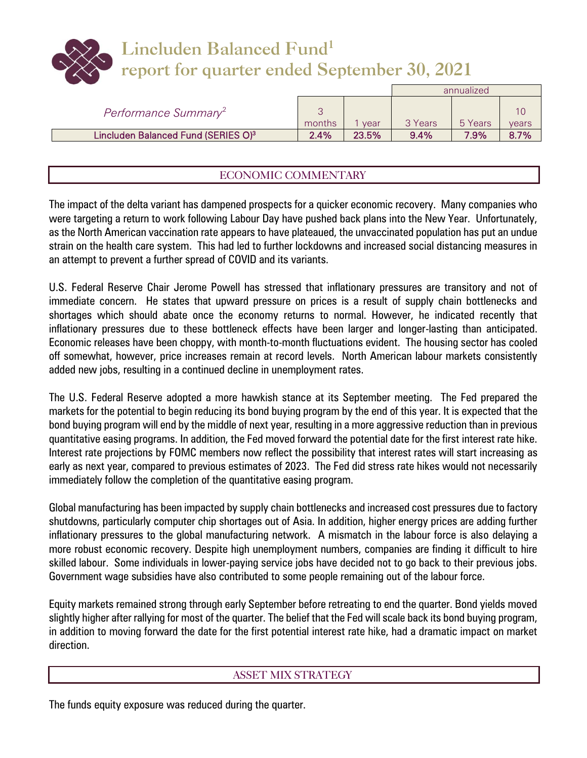# **Lincluden Balanced Fund<sup>1</sup> report for quarter ended September 30, 2021**

|                                                 |        |       |         | annualized |       |
|-------------------------------------------------|--------|-------|---------|------------|-------|
| Performance Summary <sup>2</sup>                | months | vear  | 3 Years | 5 Years    | vears |
| Lincluden Balanced Fund (SERIES O) <sup>3</sup> | 2.4%   | 23.5% | $9.4\%$ | 7.9%       | 8.7%  |

# ECONOMIC COMMENTARY

The impact of the delta variant has dampened prospects for a quicker economic recovery. Many companies who were targeting a return to work following Labour Day have pushed back plans into the New Year. Unfortunately, as the North American vaccination rate appears to have plateaued, the unvaccinated population has put an undue strain on the health care system. This had led to further lockdowns and increased social distancing measures in an attempt to prevent a further spread of COVID and its variants.

U.S. Federal Reserve Chair Jerome Powell has stressed that inflationary pressures are transitory and not of immediate concern. He states that upward pressure on prices is a result of supply chain bottlenecks and shortages which should abate once the economy returns to normal. However, he indicated recently that inflationary pressures due to these bottleneck effects have been larger and longer-lasting than anticipated. Economic releases have been choppy, with month-to-month fluctuations evident. The housing sector has cooled off somewhat, however, price increases remain at record levels. North American labour markets consistently added new jobs, resulting in a continued decline in unemployment rates.

The U.S. Federal Reserve adopted a more hawkish stance at its September meeting. The Fed prepared the markets for the potential to begin reducing its bond buying program by the end of this year. It is expected that the bond buying program will end by the middle of next year, resulting in a more aggressive reduction than in previous quantitative easing programs. In addition, the Fed moved forward the potential date for the first interest rate hike. Interest rate projections by FOMC members now reflect the possibility that interest rates will start increasing as early as next year, compared to previous estimates of 2023. The Fed did stress rate hikes would not necessarily immediately follow the completion of the quantitative easing program.

Global manufacturing has been impacted by supply chain bottlenecks and increased cost pressures due to factory shutdowns, particularly computer chip shortages out of Asia. In addition, higher energy prices are adding further inflationary pressures to the global manufacturing network. A mismatch in the labour force is also delaying a more robust economic recovery. Despite high unemployment numbers, companies are finding it difficult to hire skilled labour. Some individuals in lower-paying service jobs have decided not to go back to their previous jobs. Government wage subsidies have also contributed to some people remaining out of the labour force.

Equity markets remained strong through early September before retreating to end the quarter. Bond yields moved slightly higher after rallying for most of the quarter. The belief that the Fed will scale back its bond buying program, in addition to moving forward the date for the first potential interest rate hike, had a dramatic impact on market direction.

### ASSET MIX STRATEGY

The funds equity exposure was reduced during the quarter.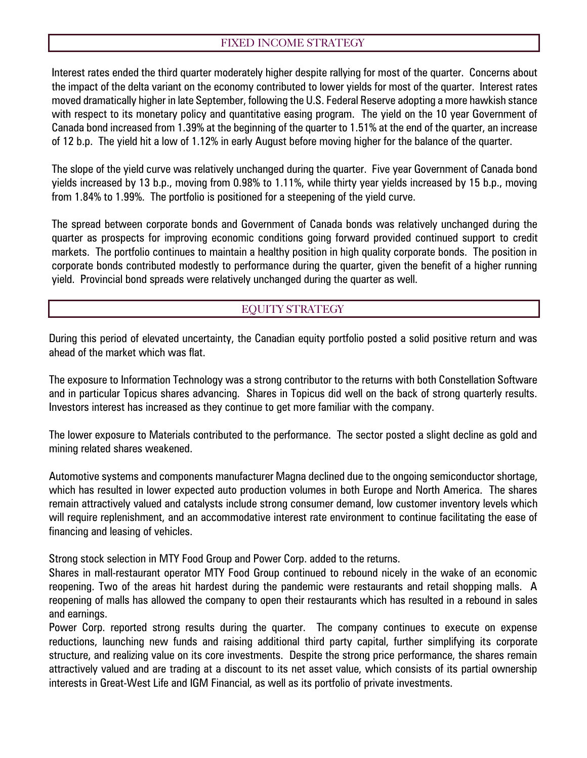## FIXED INCOME STRATEGY

Interest rates ended the third quarter moderately higher despite rallying for most of the quarter. Concerns about the impact of the delta variant on the economy contributed to lower yields for most of the quarter. Interest rates moved dramatically higher in late September, following the U.S. Federal Reserve adopting a more hawkish stance with respect to its monetary policy and quantitative easing program. The yield on the 10 year Government of Canada bond increased from 1.39% at the beginning of the quarter to 1.51% at the end of the quarter, an increase of 12 b.p. The yield hit a low of 1.12% in early August before moving higher for the balance of the quarter.

The slope of the yield curve was relatively unchanged during the quarter. Five year Government of Canada bond yields increased by 13 b.p., moving from 0.98% to 1.11%, while thirty year yields increased by 15 b.p., moving from 1.84% to 1.99%. The portfolio is positioned for a steepening of the yield curve.

The spread between corporate bonds and Government of Canada bonds was relatively unchanged during the quarter as prospects for improving economic conditions going forward provided continued support to credit markets. The portfolio continues to maintain a healthy position in high quality corporate bonds. The position in corporate bonds contributed modestly to performance during the quarter, given the benefit of a higher running yield. Provincial bond spreads were relatively unchanged during the quarter as well.

## EQUITY STRATEGY

During this period of elevated uncertainty, the Canadian equity portfolio posted a solid positive return and was ahead of the market which was flat.

The exposure to Information Technology was a strong contributor to the returns with both Constellation Software and in particular Topicus shares advancing. Shares in Topicus did well on the back of strong quarterly results. Investors interest has increased as they continue to get more familiar with the company.

The lower exposure to Materials contributed to the performance. The sector posted a slight decline as gold and mining related shares weakened.

Automotive systems and components manufacturer Magna declined due to the ongoing semiconductor shortage, which has resulted in lower expected auto production volumes in both Europe and North America. The shares remain attractively valued and catalysts include strong consumer demand, low customer inventory levels which will require replenishment, and an accommodative interest rate environment to continue facilitating the ease of financing and leasing of vehicles.

Strong stock selection in MTY Food Group and Power Corp. added to the returns.

Shares in mall-restaurant operator MTY Food Group continued to rebound nicely in the wake of an economic reopening. Two of the areas hit hardest during the pandemic were restaurants and retail shopping malls. A reopening of malls has allowed the company to open their restaurants which has resulted in a rebound in sales and earnings.

Power Corp. reported strong results during the quarter. The company continues to execute on expense reductions, launching new funds and raising additional third party capital, further simplifying its corporate structure, and realizing value on its core investments. Despite the strong price performance, the shares remain attractively valued and are trading at a discount to its net asset value, which consists of its partial ownership interests in Great-West Life and IGM Financial, as well as its portfolio of private investments.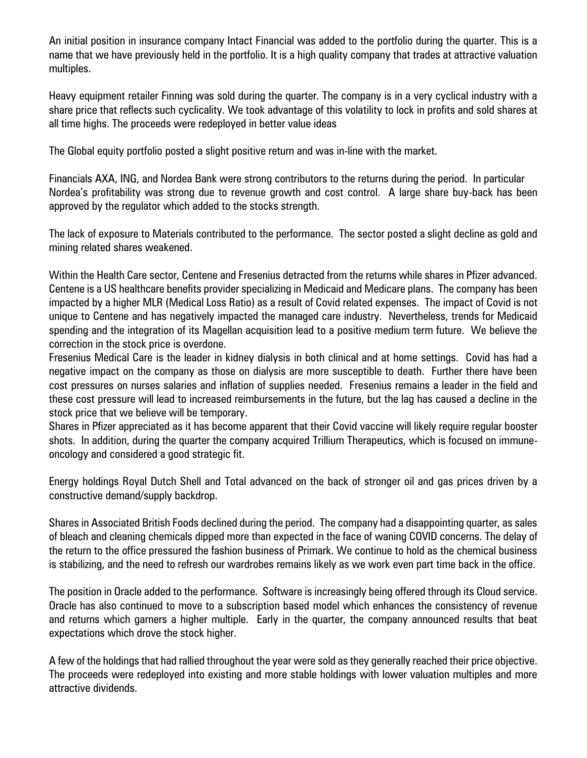An initial position in insurance company Intact Financial was added to the portfolio during the quarter. This is a name that we have previously held in the portfolio. It is a high quality company that trades at attractive valuation multiples.

Heavy equipment retailer Finning was sold during the quarter. The company is in a very cyclical industry with a share price that reflects such cyclicality. We took advantage of this volatility to lock in profits and sold shares at all time highs. The proceeds were redeployed in better value ideas

The Global equity portfolio posted a slight positive return and was in-line with the market.

Financials AXA, ING, and Nordea Bank were strong contributors to the returns during the period. In particular Nordea's profitability was strong due to revenue growth and cost control. A large share buy-back has been approved by the regulator which added to the stocks strength.

The lack of exposure to Materials contributed to the performance. The sector posted a slight decline as gold and mining related shares weakened.

Within the Health Care sector, Centene and Fresenius detracted from the returns while shares in Pfizer advanced. Centene is a US healthcare benefits provider specializing in Medicaid and Medicare plans. The company has been impacted by a higher MLR (Medical Loss Ratio) as a result of Covid related expenses. The impact of Covid is not unique to Centene and has negatively impacted the managed care industry. Nevertheless, trends for Medicaid spending and the integration of its Magellan acquisition lead to a positive medium term future. We believe the correction in the stock price is overdone.

Fresenius Medical Care is the leader in kidney dialysis in both clinical and at home settings. Covid has had a negative impact on the company as those on dialysis are more susceptible to death. Further there have been cost pressures on nurses salaries and inflation of supplies needed. Fresenius remains a leader in the field and these cost pressure will lead to increased reimbursements in the future, but the lag has caused a decline in the stock price that we believe will be temporary.

Shares in Pfizer appreciated as it has become apparent that their Covid vaccine will likely require regular booster shots. In addition, during the quarter the company acquired Trillium Therapeutics, which is focused on immuneoncology and considered a good strategic fit.

Energy holdings Royal Dutch Shell and Total advanced on the back of stronger oil and gas prices driven by a constructive demand/supply backdrop.

Shares in Associated British Foods declined during the period. The company had a disappointing quarter, as sales of bleach and cleaning chemicals dipped more than expected in the face of waning COVID concerns. The delay of the return to the office pressured the fashion business of Primark. We continue to hold as the chemical business is stabilizing, and the need to refresh our wardrobes remains likely as we work even part time back in the office.

The position in Oracle added to the performance. Software is increasingly being offered through its Cloud service. Oracle has also continued to move to a subscription based model which enhances the consistency of revenue and returns which garners a higher multiple. Early in the quarter, the company announced results that beat expectations which drove the stock higher.

A few of the holdings that had rallied throughout the year were sold as they generally reached their price objective. The proceeds were redeployed into existing and more stable holdings with lower valuation multiples and more attractive dividends.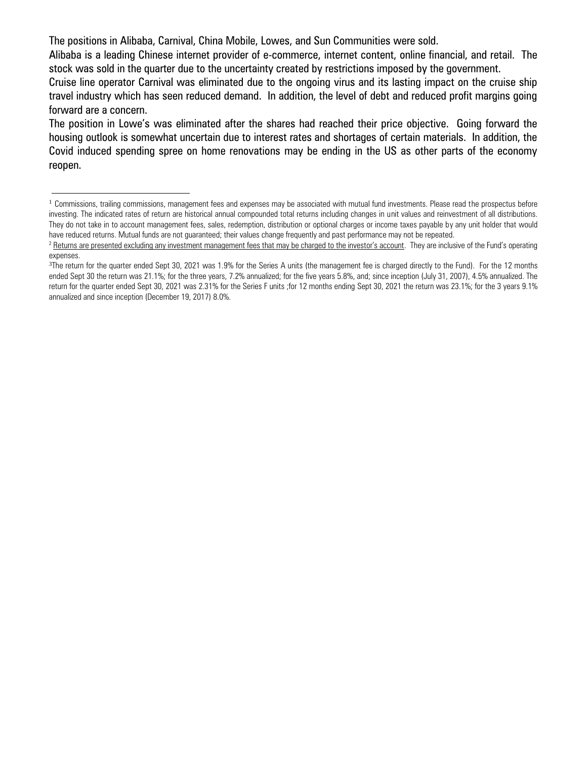The positions in Alibaba, Carnival, China Mobile, Lowes, and Sun Communities were sold.

 $\overline{a}$ 

Alibaba is a leading Chinese internet provider of e-commerce, internet content, online financial, and retail. The stock was sold in the quarter due to the uncertainty created by restrictions imposed by the government.

Cruise line operator Carnival was eliminated due to the ongoing virus and its lasting impact on the cruise ship travel industry which has seen reduced demand. In addition, the level of debt and reduced profit margins going forward are a concern.

The position in Lowe's was eliminated after the shares had reached their price objective. Going forward the housing outlook is somewhat uncertain due to interest rates and shortages of certain materials. In addition, the Covid induced spending spree on home renovations may be ending in the US as other parts of the economy reopen.

 $1$  Commissions, trailing commissions, management fees and expenses may be associated with mutual fund investments. Please read the prospectus before investing. The indicated rates of return are historical annual compounded total returns including changes in unit values and reinvestment of all distributions. They do not take in to account management fees, sales, redemption, distribution or optional charges or income taxes payable by any unit holder that would have reduced returns. Mutual funds are not guaranteed; their values change frequently and past performance may not be repeated.

<sup>&</sup>lt;sup>2</sup> Returns are presented excluding any investment management fees that may be charged to the investor's account. They are inclusive of the Fund's operating expenses.

<sup>&</sup>lt;sup>3</sup>The return for the quarter ended Sept 30, 2021 was 1.9% for the Series A units (the management fee is charged directly to the Fund). For the 12 months ended Sept 30 the return was 21.1%; for the three years, 7.2% annualized; for the five years 5.8%, and; since inception (July 31, 2007), 4.5% annualized. The return for the quarter ended Sept 30, 2021 was 2.31% for the Series F units ;for 12 months ending Sept 30, 2021 the return was 23.1%; for the 3 years 9.1% annualized and since inception (December 19, 2017) 8.0%.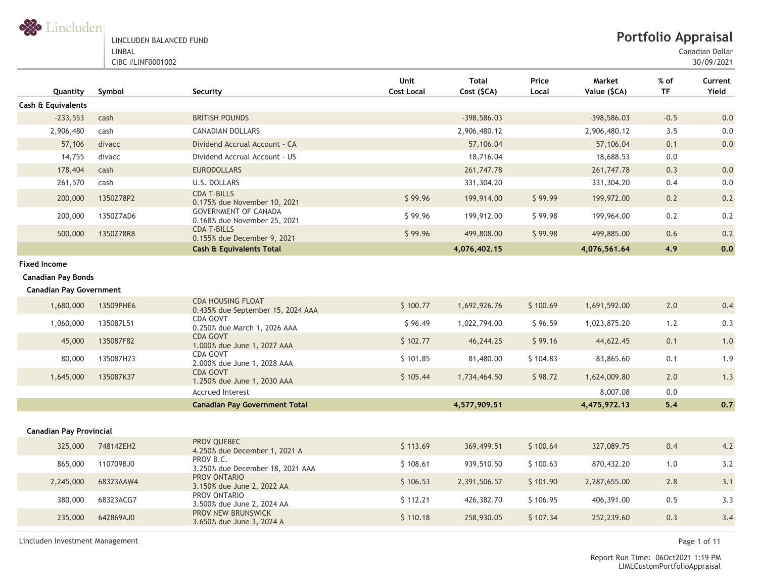

LINCLUDEN BALANCED FUND LINBAL

CIBC #LINF0001002

Canadian Dollar

30/09/2021

| Quantity                       | Symbol    | Security                                                      | <b>Unit</b><br><b>Cost Local</b> | <b>Total</b><br>Cost (\$CA) | Price<br>Local | Market<br>Value (\$CA) | % of<br><b>TF</b> | Current<br>Yield |
|--------------------------------|-----------|---------------------------------------------------------------|----------------------------------|-----------------------------|----------------|------------------------|-------------------|------------------|
| Cash & Equivalents             |           |                                                               |                                  |                             |                |                        |                   |                  |
| $-233,553$                     | cash      | <b>BRITISH POUNDS</b>                                         |                                  | $-398,586.03$               |                | $-398,586.03$          | $-0.5$            | $0.0\,$          |
| 2,906,480                      | cash      | <b>CANADIAN DOLLARS</b>                                       |                                  | 2,906,480.12                |                | 2,906,480.12           | 3.5               | 0.0              |
| 57,106                         | divacc    | Dividend Accrual Account - CA                                 |                                  | 57,106.04                   |                | 57,106.04              | 0.1               | 0.0              |
| 14,755                         | divacc    | Dividend Accrual Account - US                                 |                                  | 18,716.04                   |                | 18,688.53              | $0.0\,$           |                  |
| 178,404                        | cash      | <b>EURODOLLARS</b>                                            |                                  | 261,747.78                  |                | 261,747.78             | 0.3               | 0.0              |
| 261,570                        | cash      | U.S. DOLLARS                                                  |                                  | 331,304.20                  |                | 331,304.20             | 0.4               | $0.0\,$          |
| 200,000                        | 1350Z78P2 | <b>CDA T-BILLS</b><br>0.175% due November 10, 2021            | \$99.96                          | 199,914.00                  | \$99.99        | 199,972.00             | 0.2               | 0.2              |
| 200,000                        | 1350Z7AD6 | <b>GOVERNMENT OF CANADA</b><br>0.168% due November 25, 2021   | \$99.96                          | 199,912.00                  | \$99.98        | 199,964.00             | 0.2               | 0.2              |
| 500,000                        | 1350Z78R8 | <b>CDA T-BILLS</b><br>0.155% due December 9, 2021             | \$99.96                          | 499,808.00                  | \$99.98        | 499,885.00             | 0.6               | 0.2              |
|                                |           | <b>Cash &amp; Equivalents Total</b>                           |                                  | 4,076,402.15                |                | 4,076,561.64           | 4.9               | 0.0              |
| <b>Fixed Income</b>            |           |                                                               |                                  |                             |                |                        |                   |                  |
| <b>Canadian Pay Bonds</b>      |           |                                                               |                                  |                             |                |                        |                   |                  |
| <b>Canadian Pay Government</b> |           |                                                               |                                  |                             |                |                        |                   |                  |
| 1,680,000                      | 13509PHE6 | <b>CDA HOUSING FLOAT</b><br>0.435% due September 15, 2024 AAA | \$100.77                         | 1,692,926.76                | \$100.69       | 1,691,592.00           | 2.0               | 0.4              |
| 1,060,000                      | 135087L51 | CDA GOVT<br>0.250% due March 1, 2026 AAA                      | \$96.49                          | 1,022,794.00                | \$96.59        | 1,023,875.20           | 1.2               | 0.3              |
| 45,000                         | 135087F82 | <b>CDA GOVT</b><br>1.000% due June 1, 2027 AAA                | \$102.77                         | 46,244.25                   | \$99.16        | 44,622.45              | 0.1               | 1.0              |
| 80,000                         | 135087H23 | <b>CDA GOVT</b><br>2.000% due June 1, 2028 AAA                | \$101.85                         | 81,480.00                   | \$104.83       | 83,865.60              | 0.1               | 1.9              |
| 1,645,000                      | 135087K37 | <b>CDA GOVT</b><br>1.250% due June 1, 2030 AAA                | \$105.44                         | 1,734,464.50                | \$98.72        | 1,624,009.80           | 2.0               | 1.3              |
|                                |           | <b>Accrued Interest</b>                                       |                                  |                             |                | 8,007.08               | 0.0               |                  |
|                                |           | <b>Canadian Pay Government Total</b>                          |                                  | 4,577,909.51                |                | 4,475,972.13           | $5.4$             | 0.7              |
| <b>Canadian Pay Provincial</b> |           |                                                               |                                  |                             |                |                        |                   |                  |
| 325,000                        | 74814ZEH2 | PROV QUEBEC<br>4.250% due December 1, 2021 A                  | \$113.69                         | 369,499.51                  | \$100.64       | 327,089.75             | 0.4               | 4.2              |
| 865,000                        | 110709BJ0 | PROV B.C.<br>3.250% due December 18, 2021 AAA                 | \$108.61                         | 939,510.50                  | \$100.63       | 870,432.20             | 1.0               | 3.2              |
| 2,245,000                      | 68323AAW4 | PROV ONTARIO<br>3.150% due June 2, 2022 AA                    | \$106.53                         | 2,391,506.57                | \$101.90       | 2,287,655.00           | 2.8               | 3.1              |
| 380,000                        | 68323ACG7 | PROV ONTARIO<br>3.500% due June 2, 2024 AA                    | \$112.21                         | 426,382.70                  | \$106.95       | 406,391.00             | 0.5               | 3.3              |
| 235,000                        | 642869AJ0 | PROV NEW BRUNSWICK<br>3.650% due June 3, 2024 A               | \$110.18                         | 258,930.05                  | \$107.34       | 252,239.60             | 0.3               | 3.4              |

Lincluden Investment Management Page 1 of 11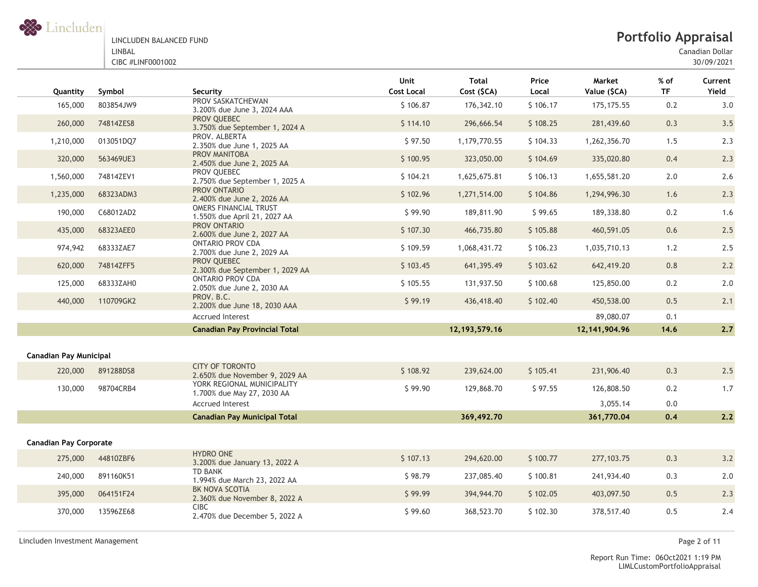

Canadian Dollar

| Quantity                      | Symbol    | Security                                                     | Unit<br><b>Cost Local</b> | <b>Total</b><br>Cost (\$CA) | Price<br>Local | Market<br>Value (\$CA) | $%$ of<br><b>TF</b> | Current<br>Yield |
|-------------------------------|-----------|--------------------------------------------------------------|---------------------------|-----------------------------|----------------|------------------------|---------------------|------------------|
| 165,000                       | 803854JW9 | PROV SASKATCHEWAN<br>3.200% due June 3, 2024 AAA             | \$106.87                  | 176,342.10                  | \$106.17       | 175, 175.55            | 0.2                 | 3.0              |
| 260,000                       | 74814ZES8 | PROV QUEBEC<br>3.750% due September 1, 2024 A                | \$114.10                  | 296,666.54                  | \$108.25       | 281,439.60             | 0.3                 | 3.5              |
| 1,210,000                     | 013051DQ7 | PROV. ALBERTA<br>2.350% due June 1, 2025 AA                  | \$97.50                   | 1,179,770.55                | \$104.33       | 1,262,356.70           | 1.5                 | 2.3              |
| 320,000                       | 563469UE3 | PROV MANITOBA<br>2.450% due June 2, 2025 AA                  | \$100.95                  | 323,050.00                  | \$104.69       | 335,020.80             | 0.4                 | 2.3              |
| 1,560,000                     | 74814ZEV1 | PROV QUEBEC<br>2.750% due September 1, 2025 A                | \$104.21                  | 1,625,675.81                | \$106.13       | 1,655,581.20           | 2.0                 | 2.6              |
| 1,235,000                     | 68323ADM3 | PROV ONTARIO<br>2.400% due June 2, 2026 AA                   | \$102.96                  | 1,271,514.00                | \$104.86       | 1,294,996.30           | 1.6                 | 2.3              |
| 190,000                       | C68012AD2 | <b>OMERS FINANCIAL TRUST</b><br>1.550% due April 21, 2027 AA | \$99.90                   | 189,811.90                  | \$99.65        | 189,338.80             | 0.2                 | 1.6              |
| 435,000                       | 68323AEE0 | PROV ONTARIO<br>2.600% due June 2, 2027 AA                   | \$107.30                  | 466,735.80                  | \$105.88       | 460,591.05             | 0.6                 | 2.5              |
| 974,942                       | 68333ZAE7 | <b>ONTARIO PROV CDA</b><br>2.700% due June 2, 2029 AA        | \$109.59                  | 1,068,431.72                | \$106.23       | 1,035,710.13           | 1.2                 | 2.5              |
| 620,000                       | 74814ZFF5 | PROV QUEBEC<br>2.300% due September 1, 2029 AA               | \$103.45                  | 641,395.49                  | \$103.62       | 642,419.20             | $0.8\,$             | 2.2              |
| 125,000                       | 68333ZAH0 | <b>ONTARIO PROV CDA</b><br>2.050% due June 2, 2030 AA        | \$105.55                  | 131,937.50                  | \$100.68       | 125,850.00             | 0.2                 | 2.0              |
| 440,000                       | 110709GK2 | PROV. B.C.<br>2.200% due June 18, 2030 AAA                   | \$99.19                   | 436,418.40                  | \$102.40       | 450,538.00             | 0.5                 | 2.1              |
|                               |           | <b>Accrued Interest</b>                                      |                           |                             |                | 89,080.07              | 0.1                 |                  |
|                               |           | <b>Canadian Pay Provincial Total</b>                         |                           | 12, 193, 579. 16            |                | 12, 141, 904. 96       | 14.6                | 2.7              |
| <b>Canadian Pay Municipal</b> |           |                                                              |                           |                             |                |                        |                     |                  |
|                               |           | <b>CITY OF TORONTO</b>                                       |                           |                             |                |                        |                     |                  |
| 220,000                       | 891288DS8 | 2.650% due November 9, 2029 AA                               | \$108.92                  | 239,624.00                  | \$105.41       | 231,906.40             | 0.3                 | 2.5              |
| 130,000                       | 98704CRB4 | YORK REGIONAL MUNICIPALITY<br>1.700% due May 27, 2030 AA     | \$99.90                   | 129,868.70                  | \$97.55        | 126,808.50             | 0.2                 | 1.7              |
|                               |           | <b>Accrued Interest</b>                                      |                           |                             |                | 3,055.14               | 0.0                 |                  |
|                               |           | <b>Canadian Pay Municipal Total</b>                          |                           | 369,492.70                  |                | 361,770.04             | 0.4                 | 2.2              |
| <b>Canadian Pay Corporate</b> |           |                                                              |                           |                             |                |                        |                     |                  |
| 275,000                       | 44810ZBF6 | <b>HYDRO ONE</b><br>3.200% due January 13, 2022 A            | \$107.13                  | 294,620.00                  | \$100.77       | 277, 103.75            | 0.3                 | 3.2              |
| 240,000                       | 891160K51 | <b>TD BANK</b><br>1.994% due March 23, 2022 AA               | \$98.79                   | 237,085.40                  | \$100.81       | 241,934.40             | 0.3                 | 2.0              |
| 395,000                       | 064151F24 | BK NOVA SCOTIA<br>2.360% due November 8, 2022 A              | \$99.99                   | 394,944.70                  | \$102.05       | 403,097.50             | 0.5                 | 2.3              |
| 370,000                       | 13596ZE68 | <b>CIBC</b><br>2.470% due December 5, 2022 A                 | \$99.60                   | 368,523.70                  | \$102.30       | 378,517.40             | 0.5                 | 2.4              |

Lincluden Investment Management Page 2 of 11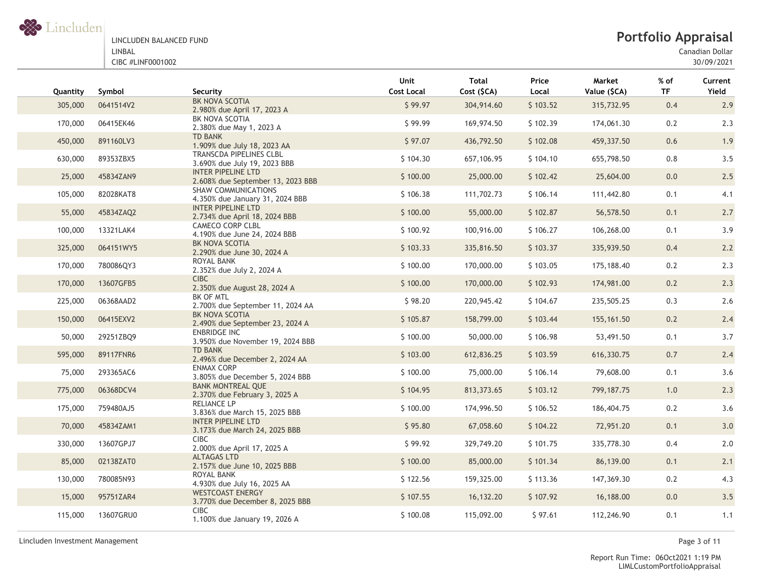

# **Portfolio Appraisal**

Canadian Dollar

30/09/2021

| Quantity | Symbol    | Security                                                      | Unit<br><b>Cost Local</b> | Total<br>Cost (\$CA) | Price<br>Local | Market<br>Value (\$CA) | $%$ of<br><b>TF</b> | Current<br>Yield |
|----------|-----------|---------------------------------------------------------------|---------------------------|----------------------|----------------|------------------------|---------------------|------------------|
| 305,000  | 0641514V2 | BK NOVA SCOTIA<br>2.980% due April 17, 2023 A                 | \$99.97                   | 304,914.60           | \$103.52       | 315,732.95             | 0.4                 | 2.9              |
| 170,000  | 06415EK46 | BK NOVA SCOTIA<br>2.380% due May 1, 2023 A                    | \$99.99                   | 169,974.50           | \$102.39       | 174,061.30             | 0.2                 | 2.3              |
| 450,000  | 891160LV3 | <b>TD BANK</b><br>1.909% due July 18, 2023 AA                 | \$97.07                   | 436,792.50           | \$102.08       | 459,337.50             | 0.6                 | 1.9              |
| 630,000  | 89353ZBX5 | TRANSCDA PIPELINES CLBL<br>3.690% due July 19, 2023 BBB       | \$104.30                  | 657,106.95           | \$104.10       | 655,798.50             | 0.8                 | 3.5              |
| 25,000   | 45834ZAN9 | INTER PIPELINE LTD<br>2.608% due September 13, 2023 BBB       | \$100.00                  | 25,000.00            | \$102.42       | 25,604.00              | 0.0                 | 2.5              |
| 105,000  | 82028KAT8 | <b>SHAW COMMUNICATIONS</b><br>4.350% due January 31, 2024 BBB | \$106.38                  | 111,702.73           | \$106.14       | 111,442.80             | 0.1                 | 4.1              |
| 55,000   | 45834ZAQ2 | INTER PIPELINE LTD<br>2.734% due April 18, 2024 BBB           | \$100.00                  | 55,000.00            | \$102.87       | 56,578.50              | 0.1                 | 2.7              |
| 100,000  | 13321LAK4 | <b>CAMECO CORP CLBL</b><br>4.190% due June 24, 2024 BBB       | \$100.92                  | 100,916.00           | \$106.27       | 106,268.00             | 0.1                 | 3.9              |
| 325,000  | 064151WY5 | BK NOVA SCOTIA<br>2.290% due June 30, 2024 A                  | \$103.33                  | 335,816.50           | \$103.37       | 335,939.50             | 0.4                 | 2.2              |
| 170,000  | 780086QY3 | ROYAL BANK<br>2.352% due July 2, 2024 A                       | \$100.00                  | 170,000.00           | \$103.05       | 175,188.40             | 0.2                 | 2.3              |
| 170,000  | 13607GFB5 | <b>CIBC</b><br>2.350% due August 28, 2024 A                   | \$100.00                  | 170,000.00           | \$102.93       | 174,981.00             | 0.2                 | 2.3              |
| 225,000  | 06368AAD2 | BK OF MTL<br>2.700% due September 11, 2024 AA                 | \$98.20                   | 220,945.42           | \$104.67       | 235,505.25             | 0.3                 | 2.6              |
| 150,000  | 06415EXV2 | BK NOVA SCOTIA<br>2.490% due September 23, 2024 A             | \$105.87                  | 158,799.00           | \$103.44       | 155, 161.50            | 0.2                 | 2.4              |
| 50,000   | 29251ZBQ9 | <b>ENBRIDGE INC</b><br>3.950% due November 19, 2024 BBB       | \$100.00                  | 50,000.00            | \$106.98       | 53,491.50              | 0.1                 | 3.7              |
| 595,000  | 89117FNR6 | <b>TD BANK</b><br>2.496% due December 2, 2024 AA              | \$103.00                  | 612,836.25           | \$103.59       | 616, 330. 75           | 0.7                 | 2.4              |
| 75,000   | 293365AC6 | <b>ENMAX CORP</b><br>3.805% due December 5, 2024 BBB          | \$100.00                  | 75,000.00            | \$106.14       | 79,608.00              | 0.1                 | 3.6              |
| 775,000  | 06368DCV4 | <b>BANK MONTREAL QUE</b><br>2.370% due February 3, 2025 A     | \$104.95                  | 813, 373.65          | \$103.12       | 799, 187. 75           | 1.0                 | 2.3              |
| 175,000  | 759480AJ5 | RELIANCE LP<br>3.836% due March 15, 2025 BBB                  | \$100.00                  | 174,996.50           | \$106.52       | 186,404.75             | 0.2                 | 3.6              |
| 70,000   | 45834ZAM1 | INTER PIPELINE LTD<br>3.173% due March 24, 2025 BBB           | \$95.80                   | 67,058.60            | \$104.22       | 72,951.20              | 0.1                 | 3.0              |
| 330,000  | 13607GPJ7 | <b>CIBC</b><br>2.000% due April 17, 2025 A                    | \$99.92                   | 329,749.20           | \$101.75       | 335,778.30             | 0.4                 | 2.0              |
| 85,000   | 02138ZAT0 | <b>ALTAGAS LTD</b><br>2.157% due June 10, 2025 BBB            | \$100.00                  | 85,000.00            | \$101.34       | 86,139.00              | 0.1                 | 2.1              |
| 130,000  | 780085N93 | ROYAL BANK<br>4.930% due July 16, 2025 AA                     | \$122.56                  | 159,325.00           | \$113.36       | 147,369.30             | 0.2                 | 4.3              |
| 15,000   | 95751ZAR4 | <b>WESTCOAST ENERGY</b><br>3.770% due December 8, 2025 BBB    | \$107.55                  | 16,132.20            | \$107.92       | 16,188.00              | 0.0                 | 3.5              |
| 115,000  | 13607GRU0 | <b>CIBC</b><br>1.100% due January 19, 2026 A                  | \$100.08                  | 115,092.00           | \$97.61        | 112,246.90             | 0.1                 | 1.1              |

Lincluden Investment Management Page 3 of 11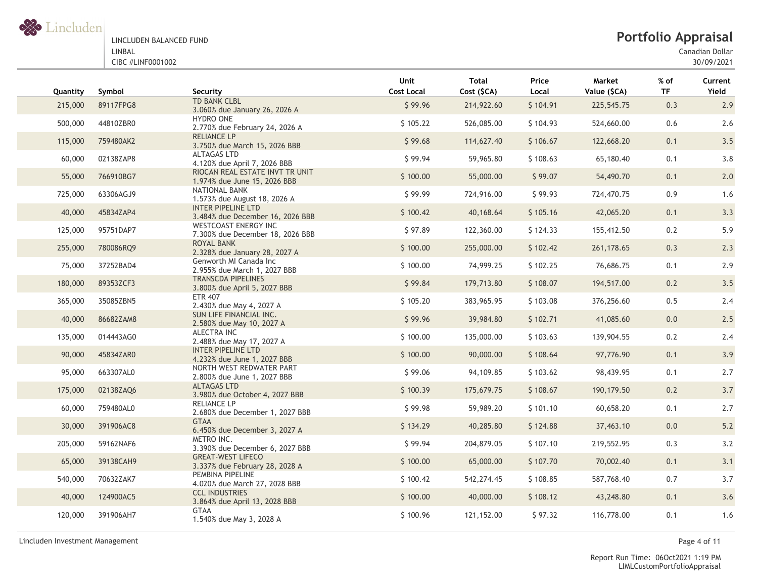

# **Portfolio Appraisal**

Canadian Dollar

30/09/2021

| Quantity | Symbol    | Security                                                        | Unit<br><b>Cost Local</b> | <b>Total</b><br>Cost (\$CA) | Price<br>Local | Market<br>Value (\$CA) | % of<br><b>TF</b> | Current<br>Yield |
|----------|-----------|-----------------------------------------------------------------|---------------------------|-----------------------------|----------------|------------------------|-------------------|------------------|
| 215,000  | 89117FPG8 | TD BANK CLBL<br>3.060% due January 26, 2026 A                   | \$99.96                   | 214,922.60                  | \$104.91       | 225,545.75             | 0.3               | 2.9              |
| 500,000  | 44810ZBR0 | <b>HYDRO ONE</b><br>2.770% due February 24, 2026 A              | \$105.22                  | 526,085.00                  | \$104.93       | 524,660.00             | 0.6               | 2.6              |
| 115,000  | 759480AK2 | <b>RELIANCE LP</b><br>3.750% due March 15, 2026 BBB             | \$99.68                   | 114,627.40                  | \$106.67       | 122,668.20             | 0.1               | 3.5              |
| 60,000   | 02138ZAP8 | <b>ALTAGAS LTD</b><br>4.120% due April 7, 2026 BBB              | \$99.94                   | 59,965.80                   | \$108.63       | 65,180.40              | 0.1               | 3.8              |
| 55,000   | 766910BG7 | RIOCAN REAL ESTATE INVT TR UNIT<br>1.974% due June 15, 2026 BBB | \$100.00                  | 55,000.00                   | \$99.07        | 54,490.70              | 0.1               | 2.0              |
| 725,000  | 63306AGJ9 | NATIONAL BANK<br>1.573% due August 18, 2026 A                   | \$99.99                   | 724,916.00                  | \$99.93        | 724,470.75             | 0.9               | 1.6              |
| 40,000   | 45834ZAP4 | <b>INTER PIPELINE LTD</b><br>3.484% due December 16, 2026 BBB   | \$100.42                  | 40,168.64                   | \$105.16       | 42,065.20              | 0.1               | 3.3              |
| 125,000  | 95751DAP7 | <b>WESTCOAST ENERGY INC</b><br>7.300% due December 18, 2026 BBB | \$97.89                   | 122,360.00                  | \$124.33       | 155,412.50             | 0.2               | 5.9              |
| 255,000  | 780086RQ9 | ROYAL BANK<br>2.328% due January 28, 2027 A                     | \$100.00                  | 255,000.00                  | \$102.42       | 261, 178.65            | 0.3               | 2.3              |
| 75,000   | 37252BAD4 | Genworth MI Canada Inc<br>2.955% due March 1, 2027 BBB          | \$100.00                  | 74,999.25                   | \$102.25       | 76,686.75              | 0.1               | 2.9              |
| 180,000  | 89353ZCF3 | <b>TRANSCDA PIPELINES</b><br>3.800% due April 5, 2027 BBB       | \$99.84                   | 179,713.80                  | \$108.07       | 194,517.00             | 0.2               | 3.5              |
| 365,000  | 35085ZBN5 | <b>ETR 407</b><br>2.430% due May 4, 2027 A                      | \$105.20                  | 383,965.95                  | \$103.08       | 376,256.60             | 0.5               | 2.4              |
| 40,000   | 86682ZAM8 | SUN LIFE FINANCIAL INC.<br>2.580% due May 10, 2027 A            | \$99.96                   | 39,984.80                   | \$102.71       | 41,085.60              | 0.0               | 2.5              |
| 135,000  | 014443AG0 | <b>ALECTRA INC</b><br>2.488% due May 17, 2027 A                 | \$100.00                  | 135,000.00                  | \$103.63       | 139,904.55             | 0.2               | 2.4              |
| 90,000   | 45834ZAR0 | <b>INTER PIPELINE LTD</b><br>4.232% due June 1, 2027 BBB        | \$100.00                  | 90,000.00                   | \$108.64       | 97,776.90              | 0.1               | 3.9              |
| 95,000   | 663307AL0 | NORTH WEST REDWATER PART<br>2.800% due June 1, 2027 BBB         | \$99.06                   | 94,109.85                   | \$103.62       | 98,439.95              | 0.1               | 2.7              |
| 175,000  | 02138ZAQ6 | <b>ALTAGAS LTD</b><br>3.980% due October 4, 2027 BBB            | \$100.39                  | 175,679.75                  | \$108.67       | 190,179.50             | 0.2               | 3.7              |
| 60,000   | 759480AL0 | <b>RELIANCE LP</b><br>2.680% due December 1, 2027 BBB           | \$99.98                   | 59,989.20                   | \$101.10       | 60,658.20              | 0.1               | 2.7              |
| 30,000   | 391906AC8 | <b>GTAA</b><br>6.450% due December 3, 2027 A                    | \$134.29                  | 40,285.80                   | \$124.88       | 37,463.10              | 0.0               | $5.2$            |
| 205,000  | 59162NAF6 | METRO INC.<br>3.390% due December 6, 2027 BBB                   | \$99.94                   | 204,879.05                  | \$107.10       | 219,552.95             | 0.3               | 3.2              |
| 65,000   | 39138CAH9 | <b>GREAT-WEST LIFECO</b><br>3.337% due February 28, 2028 A      | \$100.00                  | 65,000.00                   | \$107.70       | 70,002.40              | 0.1               | 3.1              |
| 540,000  | 70632ZAK7 | PEMBINA PIPELINE<br>4.020% due March 27, 2028 BBB               | \$100.42                  | 542,274.45                  | \$108.85       | 587,768.40             | 0.7               | 3.7              |
| 40,000   | 124900AC5 | <b>CCL INDUSTRIES</b><br>3.864% due April 13, 2028 BBB          | \$100.00                  | 40,000.00                   | \$108.12       | 43,248.80              | 0.1               | 3.6              |
| 120,000  | 391906AH7 | <b>GTAA</b><br>1.540% due May 3, 2028 A                         | \$100.96                  | 121,152.00                  | \$97.32        | 116,778.00             | 0.1               | 1.6              |
|          |           |                                                                 |                           |                             |                |                        |                   |                  |

Lincluden Investment Management Page 4 of 11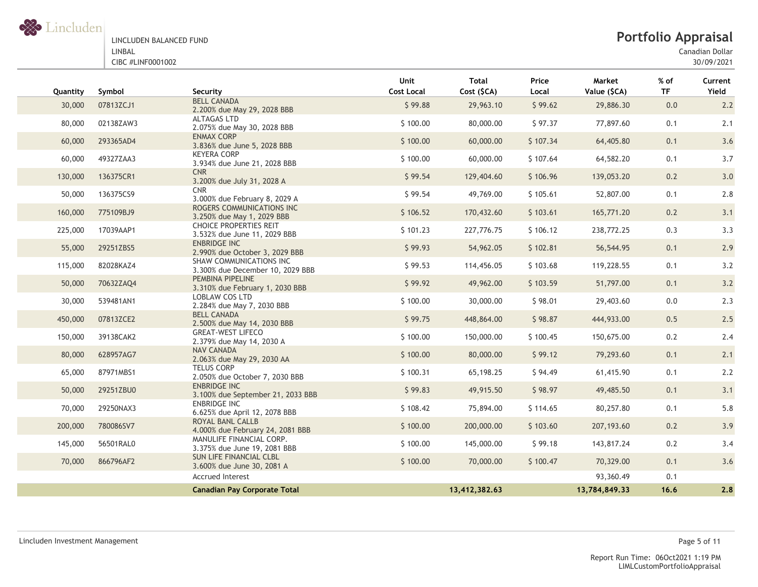

Canadian Dollar

| Quantity | Symbol    | Security                                                      | Unit<br><b>Cost Local</b> | <b>Total</b><br>Cost (\$CA) | Price<br>Local | Market<br>Value (\$CA) | $%$ of<br><b>TF</b> | Current<br>Yield |
|----------|-----------|---------------------------------------------------------------|---------------------------|-----------------------------|----------------|------------------------|---------------------|------------------|
| 30,000   | 07813ZCJ1 | <b>BELL CANADA</b><br>2.200% due May 29, 2028 BBB             | \$99.88                   | 29,963.10                   | \$99.62        | 29,886.30              | 0.0                 | 2.2              |
| 80,000   | 02138ZAW3 | ALTAGAS LTD<br>2.075% due May 30, 2028 BBB                    | \$100.00                  | 80,000.00                   | \$97.37        | 77,897.60              | 0.1                 | 2.1              |
| 60,000   | 293365AD4 | <b>ENMAX CORP</b><br>3.836% due June 5, 2028 BBB              | \$100.00                  | 60,000.00                   | \$107.34       | 64,405.80              | 0.1                 | 3.6              |
| 60,000   | 49327ZAA3 | <b>KEYERA CORP</b><br>3.934% due June 21, 2028 BBB            | \$100.00                  | 60,000.00                   | \$107.64       | 64,582.20              | 0.1                 | 3.7              |
| 130,000  | 136375CR1 | <b>CNR</b><br>3.200% due July 31, 2028 A                      | \$99.54                   | 129,404.60                  | \$106.96       | 139,053.20             | 0.2                 | 3.0              |
| 50,000   | 136375CS9 | <b>CNR</b><br>3.000% due February 8, 2029 A                   | \$99.54                   | 49,769.00                   | \$105.61       | 52,807.00              | 0.1                 | 2.8              |
| 160,000  | 775109BJ9 | ROGERS COMMUNICATIONS INC<br>3.250% due May 1, 2029 BBB       | \$106.52                  | 170,432.60                  | \$103.61       | 165,771.20             | 0.2                 | 3.1              |
| 225,000  | 17039AAP1 | <b>CHOICE PROPERTIES REIT</b><br>3.532% due June 11, 2029 BBB | \$101.23                  | 227,776.75                  | \$106.12       | 238,772.25             | 0.3                 | 3.3              |
| 55,000   | 29251ZBS5 | <b>ENBRIDGE INC</b><br>2.990% due October 3, 2029 BBB         | \$99.93                   | 54,962.05                   | \$102.81       | 56,544.95              | 0.1                 | 2.9              |
| 115,000  | 82028KAZ4 | SHAW COMMUNICATIONS INC<br>3.300% due December 10, 2029 BBB   | \$99.53                   | 114,456.05                  | \$103.68       | 119,228.55             | 0.1                 | 3.2              |
| 50,000   | 70632ZAQ4 | PEMBINA PIPELINE<br>3.310% due February 1, 2030 BBB           | \$99.92                   | 49,962.00                   | \$103.59       | 51,797.00              | 0.1                 | 3.2              |
| 30,000   | 539481AN1 | LOBLAW COS LTD<br>2.284% due May 7, 2030 BBB                  | \$100.00                  | 30,000.00                   | \$98.01        | 29,403.60              | 0.0                 | 2.3              |
| 450,000  | 07813ZCE2 | <b>BELL CANADA</b><br>2.500% due May 14, 2030 BBB             | \$99.75                   | 448,864.00                  | \$98.87        | 444,933.00             | 0.5                 | 2.5              |
| 150,000  | 39138CAK2 | <b>GREAT-WEST LIFECO</b><br>2.379% due May 14, 2030 A         | \$100.00                  | 150,000.00                  | \$100.45       | 150,675.00             | 0.2                 | 2.4              |
| 80,000   | 628957AG7 | <b>NAV CANADA</b><br>2.063% due May 29, 2030 AA               | \$100.00                  | 80,000.00                   | \$99.12        | 79,293.60              | 0.1                 | 2.1              |
| 65,000   | 87971MBS1 | <b>TELUS CORP</b><br>2.050% due October 7, 2030 BBB           | \$100.31                  | 65,198.25                   | \$94.49        | 61,415.90              | 0.1                 | 2.2              |
| 50,000   | 29251ZBU0 | <b>ENBRIDGE INC</b><br>3.100% due September 21, 2033 BBB      | \$99.83                   | 49,915.50                   | \$98.97        | 49,485.50              | 0.1                 | 3.1              |
| 70,000   | 29250NAX3 | <b>ENBRIDGE INC</b><br>6.625% due April 12, 2078 BBB          | \$108.42                  | 75,894.00                   | \$114.65       | 80,257.80              | 0.1                 | 5.8              |
| 200,000  | 780086SV7 | ROYAL BANL CALLB<br>4.000% due February 24, 2081 BBB          | \$100.00                  | 200,000.00                  | \$103.60       | 207,193.60             | 0.2                 | 3.9              |
| 145,000  | 56501RAL0 | MANULIFE FINANCIAL CORP.<br>3.375% due June 19, 2081 BBB      | \$100.00                  | 145,000.00                  | \$99.18        | 143,817.24             | 0.2                 | 3.4              |
| 70,000   | 866796AF2 | SUN LIFE FINANCIAL CLBL<br>3.600% due June 30, 2081 A         | \$100.00                  | 70,000.00                   | \$100.47       | 70,329.00              | 0.1                 | 3.6              |
|          |           | <b>Accrued Interest</b>                                       |                           |                             |                | 93,360.49              | 0.1                 |                  |
|          |           | <b>Canadian Pay Corporate Total</b>                           |                           | 13,412,382.63               |                | 13,784,849.33          | 16.6                | 2.8              |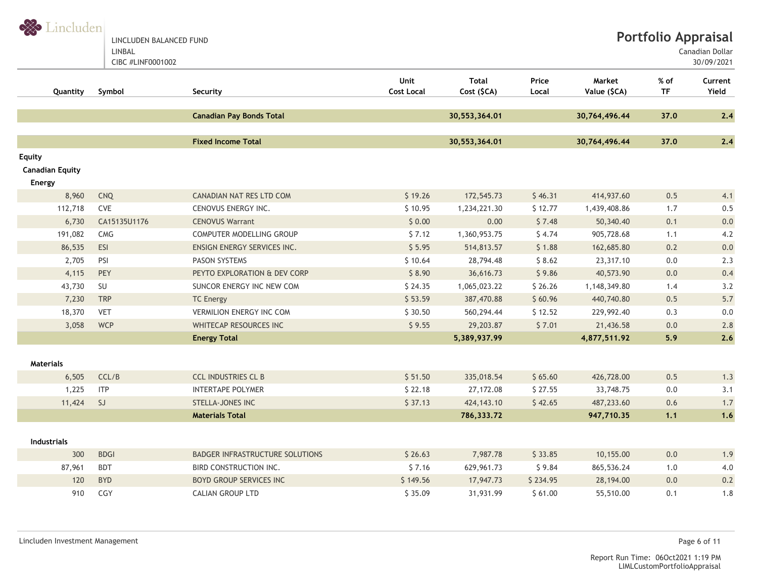S Lincluden LINCLUDEN BALANCED FUND

LINBAL

CIBC #LINF0001002

Canadian Dollar

30/09/2021

| Quantity                                | Symbol                | Security                        | Unit<br><b>Cost Local</b> | <b>Total</b><br>Cost (\$CA) | Price<br>Local | Market<br>Value (\$CA) | % of<br><b>TF</b> | Current<br>Yield |
|-----------------------------------------|-----------------------|---------------------------------|---------------------------|-----------------------------|----------------|------------------------|-------------------|------------------|
|                                         |                       | <b>Canadian Pay Bonds Total</b> |                           | 30,553,364.01               |                | 30,764,496.44          | 37.0              | 2.4              |
|                                         |                       | <b>Fixed Income Total</b>       |                           | 30,553,364.01               |                | 30,764,496.44          | 37.0              | 2.4              |
| <b>Equity</b><br><b>Canadian Equity</b> |                       |                                 |                           |                             |                |                        |                   |                  |
| Energy                                  |                       |                                 |                           |                             |                |                        |                   |                  |
| 8,960                                   | <b>CNQ</b>            | CANADIAN NAT RES LTD COM        | \$19.26                   | 172,545.73                  | \$46.31        | 414,937.60             | 0.5               | 4.1              |
| 112,718                                 | CVE                   | CENOVUS ENERGY INC.             | \$10.95                   | 1,234,221.30                | \$12.77        | 1,439,408.86           | 1.7               | 0.5              |
| 6,730                                   | CA15135U1176          | <b>CENOVUS Warrant</b>          | \$0.00                    | 0.00                        | \$7.48         | 50,340.40              | 0.1               | 0.0              |
| 191,082                                 | $\mathsf{CMG}\xspace$ | COMPUTER MODELLING GROUP        | \$7.12                    | 1,360,953.75                | \$4.74         | 905,728.68             | 1.1               | 4.2              |
| 86,535                                  | ESI                   | ENSIGN ENERGY SERVICES INC.     | \$5.95                    | 514,813.57                  | \$1.88         | 162,685.80             | 0.2               | 0.0              |
| 2,705                                   | PSI                   | <b>PASON SYSTEMS</b>            | \$10.64                   | 28,794.48                   | \$8.62         | 23,317.10              | $0.0\,$           | 2.3              |
| 4,115                                   | PEY                   | PEYTO EXPLORATION & DEV CORP    | \$8.90                    | 36,616.73                   | \$9.86         | 40,573.90              | 0.0               | 0.4              |
| 43,730                                  | SU                    | SUNCOR ENERGY INC NEW COM       | \$24.35                   | 1,065,023.22                | \$26.26        | 1,148,349.80           | 1.4               | 3.2              |
| 7,230                                   | <b>TRP</b>            | <b>TC Energy</b>                | \$53.59                   | 387,470.88                  | \$60.96        | 440,740.80             | 0.5               | $5.7$            |
| 18,370                                  | <b>VET</b>            | <b>VERMILION ENERGY INC COM</b> | \$30.50                   | 560,294.44                  | \$12.52        | 229,992.40             | 0.3               | 0.0              |
| 3,058                                   | <b>WCP</b>            | WHITECAP RESOURCES INC          | \$9.55                    | 29,203.87                   | \$7.01         | 21,436.58              | 0.0               | 2.8              |
|                                         |                       | <b>Energy Total</b>             |                           | 5,389,937.99                |                | 4,877,511.92           | 5.9               | 2.6              |
|                                         |                       |                                 |                           |                             |                |                        |                   |                  |
| <b>Materials</b>                        |                       |                                 |                           |                             |                |                        |                   |                  |
| 6,505                                   | CCL/B                 | <b>CCL INDUSTRIES CL B</b>      | \$51.50                   | 335,018.54                  | \$65.60        | 426,728.00             | 0.5               | 1.3              |
| 1,225                                   | <b>ITP</b>            | <b>INTERTAPE POLYMER</b>        | \$22.18                   | 27,172.08                   | \$27.55        | 33,748.75              | $0.0\,$           | 3.1              |
| 11,424                                  | SJ                    | <b>STELLA-JONES INC</b>         | \$37.13                   | 424, 143. 10                | \$42.65        | 487,233.60             | 0.6               | 1.7              |
|                                         |                       | <b>Materials Total</b>          |                           | 786,333.72                  |                | 947,710.35             | 1.1               | 1.6              |
| <b>Industrials</b>                      |                       |                                 |                           |                             |                |                        |                   |                  |
| 300                                     | <b>BDGI</b>           | BADGER INFRASTRUCTURE SOLUTIONS | \$26.63                   | 7,987.78                    | \$33.85        | 10,155.00              | 0.0               | 1.9              |
| 87,961                                  | <b>BDT</b>            | <b>BIRD CONSTRUCTION INC.</b>   | \$7.16                    | 629,961.73                  | \$9.84         | 865,536.24             | 1.0               | 4.0              |
| 120                                     | <b>BYD</b>            | <b>BOYD GROUP SERVICES INC</b>  | \$149.56                  | 17,947.73                   | \$234.95       | 28,194.00              | 0.0               | $0.2\,$          |
| 910                                     | CGY                   | <b>CALIAN GROUP LTD</b>         | \$35.09                   | 31,931.99                   | \$61.00        | 55,510.00              | 0.1               | 1.8              |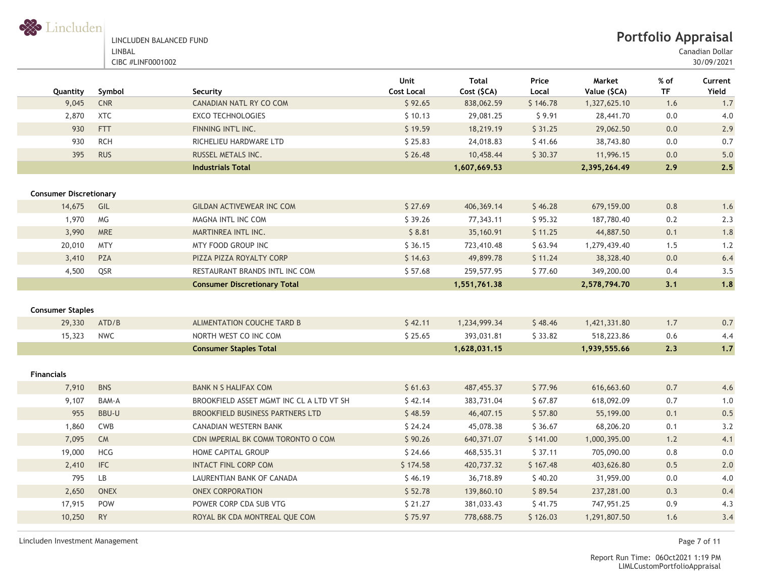

| LINCLUDEN BALANCED FUND |
|-------------------------|
| LINBAL                  |
| CIBC #LINF0001002       |

Canadian Dollar

30/09/2021

| Quantity                      | Symbol       | Security                                 | <b>Unit</b><br><b>Cost Local</b> | <b>Total</b><br>Cost (\$CA) | Price<br>Local | Market<br>Value (\$CA) | % of<br><b>TF</b> | Current<br>Yield |
|-------------------------------|--------------|------------------------------------------|----------------------------------|-----------------------------|----------------|------------------------|-------------------|------------------|
| 9,045                         | CNR          | CANADIAN NATL RY CO COM                  | \$92.65                          | 838,062.59                  | \$146.78       | 1,327,625.10           | 1.6               | 1.7              |
| 2,870                         | <b>XTC</b>   | <b>EXCO TECHNOLOGIES</b>                 | \$10.13                          | 29,081.25                   | \$9.91         | 28,441.70              | 0.0               | 4.0              |
| 930                           | <b>FTT</b>   | FINNING INT'L INC.                       | \$19.59                          | 18,219.19                   | \$31.25        | 29,062.50              | 0.0               | 2.9              |
| 930                           | <b>RCH</b>   | RICHELIEU HARDWARE LTD                   | \$25.83                          | 24,018.83                   | \$41.66        | 38,743.80              | 0.0               | 0.7              |
| 395                           | <b>RUS</b>   | RUSSEL METALS INC.                       | \$26.48                          | 10,458.44                   | \$30.37        | 11,996.15              | 0.0               | 5.0              |
|                               |              | <b>Industrials Total</b>                 |                                  | 1,607,669.53                |                | 2,395,264.49           | 2.9               | 2.5              |
| <b>Consumer Discretionary</b> |              |                                          |                                  |                             |                |                        |                   |                  |
| 14,675                        | GIL          | <b>GILDAN ACTIVEWEAR INC COM</b>         | \$27.69                          | 406,369.14                  | \$46.28        | 679,159.00             | $0.8\,$           | 1.6              |
| 1,970                         | MG           | MAGNA INTL INC COM                       | \$39.26                          | 77,343.11                   | \$95.32        | 187,780.40             | 0.2               | 2.3              |
| 3,990                         | <b>MRE</b>   | MARTINREA INTL INC.                      | \$8.81                           | 35,160.91                   | \$11.25        | 44,887.50              | 0.1               | 1.8              |
| 20,010                        | <b>MTY</b>   | MTY FOOD GROUP INC                       | \$36.15                          | 723,410.48                  | \$63.94        | 1,279,439.40           | 1.5               | 1.2              |
| 3,410                         | PZA          | PIZZA PIZZA ROYALTY CORP                 | \$14.63                          | 49,899.78                   | \$11.24        | 38,328.40              | 0.0               | 6.4              |
| 4,500                         | QSR          | RESTAURANT BRANDS INTL INC COM           | \$57.68                          | 259,577.95                  | \$77.60        | 349,200.00             | 0.4               | 3.5              |
|                               |              | <b>Consumer Discretionary Total</b>      |                                  | 1,551,761.38                |                | 2,578,794.70           | 3.1               | 1.8              |
| <b>Consumer Staples</b>       |              |                                          |                                  |                             |                |                        |                   |                  |
| 29,330                        | ATD/B        | ALIMENTATION COUCHE TARD B               | \$42.11                          | 1,234,999.34                | \$48.46        | 1,421,331.80           | 1.7               | 0.7              |
| 15,323                        | <b>NWC</b>   | NORTH WEST CO INC COM                    | \$25.65                          | 393,031.81                  | \$33.82        | 518,223.86             | 0.6               | 4.4              |
|                               |              | <b>Consumer Staples Total</b>            |                                  | 1,628,031.15                |                | 1,939,555.66           | 2,3               | $1.7$            |
| <b>Financials</b>             |              |                                          |                                  |                             |                |                        |                   |                  |
| 7,910                         | <b>BNS</b>   | <b>BANK N S HALIFAX COM</b>              | \$61.63                          | 487, 455.37                 | \$77.96        | 616,663.60             | $0.7\,$           | 4.6              |
| 9,107                         | BAM-A        | BROOKFIELD ASSET MGMT INC CL A LTD VT SH | \$42.14                          | 383,731.04                  | \$67.87        | 618,092.09             | 0.7               | 1.0              |
| 955                           | <b>BBU-U</b> | <b>BROOKFIELD BUSINESS PARTNERS LTD</b>  | \$48.59                          | 46,407.15                   | \$57.80        | 55,199.00              | 0.1               | 0.5              |
| 1,860                         | <b>CWB</b>   | CANADIAN WESTERN BANK                    | \$24.24                          | 45,078.38                   | \$36.67        | 68,206.20              | 0.1               | 3.2              |
| 7,095                         | ${\sf CM}$   | CDN IMPERIAL BK COMM TORONTO O COM       | \$90.26                          | 640,371.07                  | \$141.00       | 1,000,395.00           | 1.2               | 4.1              |
| 19,000                        | HCG          | HOME CAPITAL GROUP                       | \$24.66                          | 468,535.31                  | \$37.11        | 705,090.00             | $0.8\,$           | $0.0\,$          |
| 2,410                         | <b>IFC</b>   | <b>INTACT FINL CORP COM</b>              | \$174.58                         | 420,737.32                  | \$167.48       | 403,626.80             | 0.5               | 2.0              |
| 795                           | <b>LB</b>    | LAURENTIAN BANK OF CANADA                | \$46.19                          | 36,718.89                   | \$40.20        | 31,959.00              | 0.0               | 4.0              |
| 2,650                         | <b>ONEX</b>  | <b>ONEX CORPORATION</b>                  | \$52.78                          | 139,860.10                  | \$89.54        | 237,281.00             | 0.3               | 0.4              |
| 17,915                        | POW          | POWER CORP CDA SUB VTG                   | \$21.27                          | 381,033.43                  | \$41.75        | 747,951.25             | 0.9               | 4.3              |
| 10,250                        | <b>RY</b>    | ROYAL BK CDA MONTREAL QUE COM            | \$75.97                          | 778,688.75                  | \$126.03       | 1,291,807.50           | 1.6               | 3.4              |

Lincluden Investment Management Page 7 of 11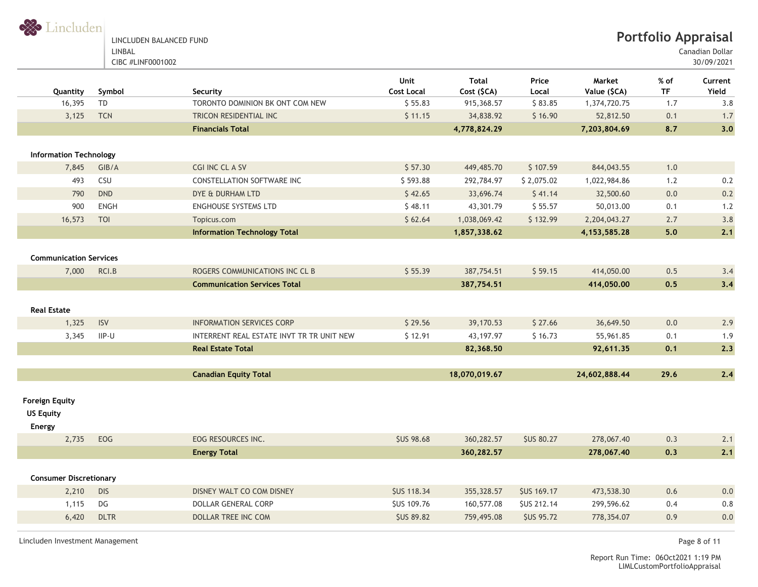

Canadian Dollar

30/09/2021

|                                        |             |                                           | <b>Unit</b>        | Total         | Price              | Market          | $%$ of    | Current    |
|----------------------------------------|-------------|-------------------------------------------|--------------------|---------------|--------------------|-----------------|-----------|------------|
| Quantity                               | Symbol      | Security                                  | <b>Cost Local</b>  | Cost (\$CA)   | Local              | Value (\$CA)    | <b>TF</b> | Yield      |
| 16,395                                 | TD          | TORONTO DOMINION BK ONT COM NEW           | \$55.83            | 915,368.57    | \$83.85            | 1,374,720.75    | 1.7       | 3.8        |
| 3,125                                  | <b>TCN</b>  | TRICON RESIDENTIAL INC                    | \$11.15            | 34,838.92     | \$16.90            | 52,812.50       | 0.1       | 1.7        |
|                                        |             | <b>Financials Total</b>                   |                    | 4,778,824.29  |                    | 7,203,804.69    | 8.7       | 3.0        |
| <b>Information Technology</b>          |             |                                           |                    |               |                    |                 |           |            |
| 7,845                                  | GIB/A       | CGI INC CL A SV                           | \$57.30            | 449,485.70    | \$107.59           | 844,043.55      | 1.0       |            |
| 493                                    | CSU         | CONSTELLATION SOFTWARE INC                | \$593.88           | 292,784.97    | \$2,075.02         | 1,022,984.86    | 1.2       | 0.2        |
| 790                                    | <b>DND</b>  | DYE & DURHAM LTD                          | \$42.65            | 33,696.74     | \$41.14            | 32,500.60       | 0.0       | 0.2        |
| 900                                    | ENGH        | <b>ENGHOUSE SYSTEMS LTD</b>               | \$48.11            | 43,301.79     | \$55.57            | 50,013.00       | 0.1       | 1.2        |
| 16,573                                 | <b>TOI</b>  | Topicus.com                               | \$62.64            | 1,038,069.42  | \$132.99           | 2,204,043.27    | 2.7       | 3.8        |
|                                        |             | <b>Information Technology Total</b>       |                    | 1,857,338.62  |                    | 4, 153, 585. 28 | 5.0       | 2.1        |
|                                        |             |                                           |                    |               |                    |                 |           |            |
| <b>Communication Services</b><br>7,000 | RCI.B       | ROGERS COMMUNICATIONS INC CL B            | \$55.39            | 387,754.51    | \$59.15            | 414,050.00      | 0.5       |            |
|                                        |             | <b>Communication Services Total</b>       |                    |               |                    |                 | 0.5       | 3.4<br>3,4 |
|                                        |             |                                           |                    | 387,754.51    |                    | 414,050.00      |           |            |
| <b>Real Estate</b>                     |             |                                           |                    |               |                    |                 |           |            |
| 1,325                                  | <b>ISV</b>  | <b>INFORMATION SERVICES CORP</b>          | \$29.56            | 39,170.53     | \$27.66            | 36,649.50       | 0.0       | 2.9        |
| 3,345                                  | IIP-U       | INTERRENT REAL ESTATE INVT TR TR UNIT NEW | \$12.91            | 43, 197. 97   | \$16.73            | 55,961.85       | 0.1       | 1.9        |
|                                        |             | <b>Real Estate Total</b>                  |                    | 82,368.50     |                    | 92,611.35       | 0.1       | 2.3        |
|                                        |             |                                           |                    |               |                    |                 |           |            |
|                                        |             | <b>Canadian Equity Total</b>              |                    | 18,070,019.67 |                    | 24,602,888.44   | 29.6      | 2.4        |
| <b>Foreign Equity</b>                  |             |                                           |                    |               |                    |                 |           |            |
| <b>US Equity</b>                       |             |                                           |                    |               |                    |                 |           |            |
| <b>Energy</b>                          |             |                                           |                    |               |                    |                 |           |            |
| 2,735                                  | EOG         | EOG RESOURCES INC.                        | <b>\$US 98.68</b>  | 360,282.57    | <b>\$US 80.27</b>  | 278,067.40      | 0.3       | 2.1        |
|                                        |             | <b>Energy Total</b>                       |                    | 360,282.57    |                    | 278,067.40      | 0.3       | 2.1        |
|                                        |             |                                           |                    |               |                    |                 |           |            |
| <b>Consumer Discretionary</b>          |             |                                           |                    |               |                    |                 |           |            |
| 2,210                                  | <b>DIS</b>  | DISNEY WALT CO COM DISNEY                 | <b>\$US 118.34</b> | 355,328.57    | <b>\$US 169.17</b> | 473,538.30      | 0.6       | 0.0        |
| 1,115                                  | DG          | <b>DOLLAR GENERAL CORP</b>                | <b>\$US 109.76</b> | 160,577.08    | <b>\$US 212.14</b> | 299,596.62      | 0.4       | $0.8\,$    |
| 6,420                                  | <b>DLTR</b> | <b>DOLLAR TREE INC COM</b>                | <b>\$US 89.82</b>  | 759,495.08    | <b>\$US 95.72</b>  | 778,354.07      | 0.9       | 0.0        |
|                                        |             |                                           |                    |               |                    |                 |           |            |

Lincluden Investment Management Page 8 of 11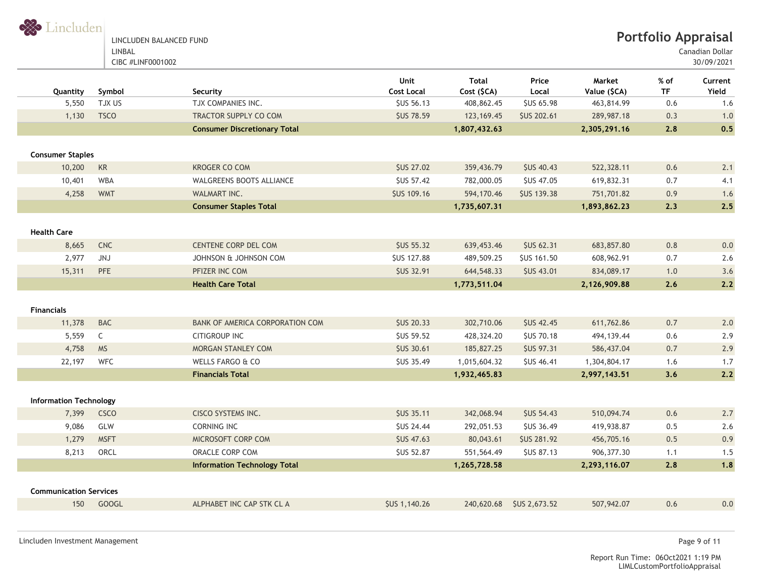

Canadian Dollar

30/09/2021

| Quantity                             | Symbol       | Security                            | Unit<br><b>Cost Local</b> | Total<br>Cost (\$CA) | Price<br>Local      | Market<br>Value (\$CA) | % of<br><b>TF</b> | Current<br>Yield |
|--------------------------------------|--------------|-------------------------------------|---------------------------|----------------------|---------------------|------------------------|-------------------|------------------|
| 5,550                                | TJX US       | TJX COMPANIES INC.                  | <b>\$US 56.13</b>         | 408,862.45           | <b>\$US 65.98</b>   | 463,814.99             | 0.6               | 1.6              |
| 1,130                                | <b>TSCO</b>  | TRACTOR SUPPLY CO COM               | <b>SUS 78.59</b>          | 123, 169. 45         | <b>\$US 202.61</b>  | 289,987.18             | 0.3               | 1.0              |
|                                      |              | <b>Consumer Discretionary Total</b> |                           | 1,807,432.63         |                     | 2,305,291.16           | 2.8               | 0.5              |
| <b>Consumer Staples</b>              |              |                                     |                           |                      |                     |                        |                   |                  |
| 10,200                               | KR           | KROGER CO COM                       | <b>\$US 27.02</b>         | 359,436.79           | <b>\$US 40.43</b>   | 522,328.11             | 0.6               | 2.1              |
| 10,401                               | <b>WBA</b>   | <b>WALGREENS BOOTS ALLIANCE</b>     | <b>SUS 57.42</b>          | 782,000.05           | <b>\$US 47.05</b>   | 619,832.31             | 0.7               | 4.1              |
| 4,258                                | <b>WMT</b>   | WALMART INC.                        | <b>\$US 109.16</b>        | 594,170.46           | <b>\$US 139.38</b>  | 751,701.82             | 0.9               | 1.6              |
|                                      |              | <b>Consumer Staples Total</b>       |                           | 1,735,607.31         |                     | 1,893,862.23           | 2.3               | 2.5              |
| <b>Health Care</b>                   |              |                                     |                           |                      |                     |                        |                   |                  |
| 8,665                                | <b>CNC</b>   | <b>CENTENE CORP DEL COM</b>         | <b>SUS 55.32</b>          | 639,453.46           | <b>\$US 62.31</b>   | 683,857.80             | 0.8               | 0.0              |
| 2,977                                | JNJ          | JOHNSON & JOHNSON COM               | <b>\$US 127.88</b>        | 489,509.25           | <b>\$US 161.50</b>  | 608,962.91             | 0.7               | 2.6              |
| 15,311                               | PFE          | PFIZER INC COM                      | <b>\$US 32.91</b>         | 644,548.33           | <b>\$US 43.01</b>   | 834,089.17             | 1.0               | 3.6              |
|                                      |              | <b>Health Care Total</b>            |                           | 1,773,511.04         |                     | 2,126,909.88           | 2.6               | 2.2              |
| <b>Financials</b>                    |              |                                     |                           |                      |                     |                        |                   |                  |
| 11,378                               | <b>BAC</b>   | BANK OF AMERICA CORPORATION COM     | <b>SUS 20.33</b>          | 302,710.06           | <b>SUS 42.45</b>    | 611,762.86             | 0.7               | 2.0              |
| 5,559                                | $\mathsf{C}$ | <b>CITIGROUP INC</b>                | <b>\$US 59.52</b>         | 428,324.20           | <b>\$US 70.18</b>   | 494,139.44             | 0.6               | 2.9              |
| 4,758                                | <b>MS</b>    | MORGAN STANLEY COM                  | <b>\$US 30.61</b>         | 185,827.25           | <b>\$US 97.31</b>   | 586,437.04             | 0.7               | 2.9              |
| 22,197                               | <b>WFC</b>   | WELLS FARGO & CO                    | <b>SUS 35.49</b>          | 1,015,604.32         | <b>SUS 46.41</b>    | 1,304,804.17           | 1.6               | 1.7              |
|                                      |              | <b>Financials Total</b>             |                           | 1,932,465.83         |                     | 2,997,143.51           | 3.6               | 2.2              |
| <b>Information Technology</b>        |              |                                     |                           |                      |                     |                        |                   |                  |
| 7,399                                | <b>CSCO</b>  | CISCO SYSTEMS INC.                  | <b>\$US 35.11</b>         | 342,068.94           | <b>\$US 54.43</b>   | 510,094.74             | 0.6               | 2.7              |
| 9,086                                | GLW          | CORNING INC                         | <b>SUS 24.44</b>          | 292,051.53           | <b>SUS 36.49</b>    | 419,938.87             | 0.5               | 2.6              |
| 1,279                                | <b>MSFT</b>  | MICROSOFT CORP COM                  | <b>\$US 47.63</b>         | 80,043.61            | <b>\$US 281.92</b>  | 456,705.16             | 0.5               | 0.9              |
| 8,213                                | ORCL         | ORACLE CORP COM                     | <b>\$US 52.87</b>         | 551,564.49           | <b>\$US 87.13</b>   | 906, 377.30            | 1.1               | 1.5              |
|                                      |              | <b>Information Technology Total</b> |                           | 1,265,728.58         |                     | 2,293,116.07           | 2.8               | 1.8              |
|                                      |              |                                     |                           |                      |                     |                        |                   |                  |
| <b>Communication Services</b><br>150 | <b>GOOGL</b> | ALPHABET INC CAP STK CL A           | SUS 1,140.26              | 240,620.68           | <b>SUS 2,673.52</b> | 507,942.07             | 0.6               | 0.0              |
|                                      |              |                                     |                           |                      |                     |                        |                   |                  |

Lincluden Investment Management Page 9 of 11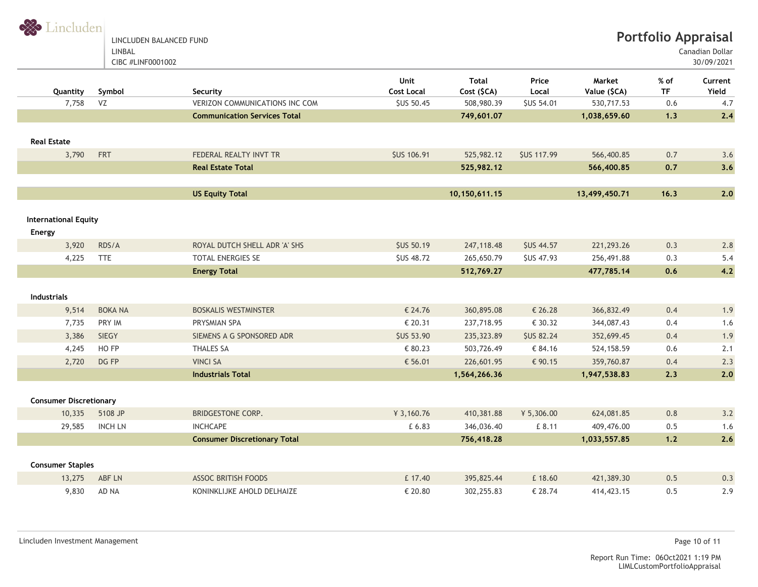S Lincluden LINCLUDEN BALANCED FUND LINBAL

CIBC #LINF0001002

**Portfolio Appraisal**

Canadian Dollar

30/09/2021

| Quantity                      | Symbol         | Security                              | Unit<br><b>Cost Local</b> | <b>Total</b><br>Cost (\$CA) | Price<br>Local     | Market<br>Value (\$CA) | $%$ of<br><b>TF</b> | Current<br>Yield |
|-------------------------------|----------------|---------------------------------------|---------------------------|-----------------------------|--------------------|------------------------|---------------------|------------------|
| 7,758                         | VZ             | <b>VERIZON COMMUNICATIONS INC COM</b> | <b>\$US 50.45</b>         | 508,980.39                  | <b>\$US 54.01</b>  | 530,717.53             | 0.6                 | 4.7              |
|                               |                | <b>Communication Services Total</b>   |                           | 749,601.07                  |                    | 1,038,659.60           | 1.3                 | 2.4              |
|                               |                |                                       |                           |                             |                    |                        |                     |                  |
| <b>Real Estate</b>            |                |                                       |                           |                             |                    |                        |                     |                  |
| 3,790                         | FRT            | FEDERAL REALTY INVT TR                | <b>\$US 106.91</b>        | 525,982.12                  | <b>\$US 117.99</b> | 566,400.85             | 0.7                 | 3.6              |
|                               |                | <b>Real Estate Total</b>              |                           | 525,982.12                  |                    | 566,400.85             | 0.7                 | 3.6              |
|                               |                |                                       |                           |                             |                    |                        |                     |                  |
|                               |                | <b>US Equity Total</b>                |                           | 10,150,611.15               |                    | 13,499,450.71          | 16.3                | 2.0              |
|                               |                |                                       |                           |                             |                    |                        |                     |                  |
| <b>International Equity</b>   |                |                                       |                           |                             |                    |                        |                     |                  |
| Energy                        |                |                                       |                           |                             |                    |                        |                     |                  |
| 3,920                         | RDS/A          | ROYAL DUTCH SHELL ADR 'A' SHS         | <b>\$US 50.19</b>         | 247,118.48                  | <b>\$US 44.57</b>  | 221,293.26             | 0.3                 | 2.8              |
| 4,225                         | <b>TTE</b>     | TOTAL ENERGIES SE                     | <b>\$US 48.72</b>         | 265,650.79                  | <b>\$US 47.93</b>  | 256,491.88             | 0.3                 | 5.4              |
|                               |                | <b>Energy Total</b>                   |                           | 512,769.27                  |                    | 477,785.14             | 0.6                 | 4.2              |
| <b>Industrials</b>            |                |                                       |                           |                             |                    |                        |                     |                  |
| 9,514                         | <b>BOKA NA</b> | <b>BOSKALIS WESTMINSTER</b>           | € 24.76                   | 360,895.08                  | € 26.28            | 366,832.49             | 0.4                 | 1.9              |
| 7,735                         | PRY IM         | PRYSMIAN SPA                          | € 20.31                   | 237,718.95                  | € 30.32            | 344,087.43             | 0.4                 | 1.6              |
| 3,386                         | <b>SIEGY</b>   | SIEMENS A G SPONSORED ADR             | <b>\$US 53.90</b>         | 235,323.89                  | <b>\$US 82.24</b>  | 352,699.45             | 0.4                 | 1.9              |
| 4,245                         | HO FP          | <b>THALES SA</b>                      | € 80.23                   | 503,726.49                  | € 84.16            | 524, 158.59            | 0.6                 | 2.1              |
| 2,720                         | DG FP          | <b>VINCI SA</b>                       | € 56.01                   | 226,601.95                  | € 90.15            | 359,760.87             | 0.4                 | 2.3              |
|                               |                | <b>Industrials Total</b>              |                           | 1,564,266.36                |                    | 1,947,538.83           | 2.3                 | 2.0              |
|                               |                |                                       |                           |                             |                    |                        |                     |                  |
| <b>Consumer Discretionary</b> |                |                                       |                           |                             |                    |                        |                     |                  |
| 10,335                        | 5108 JP        | BRIDGESTONE CORP.                     | ¥ 3,160.76                | 410,381.88                  | ¥ 5,306.00         | 624,081.85             | 0.8                 | 3.2              |
| 29,585                        | <b>INCH LN</b> | <b>INCHCAPE</b>                       | £ 6.83                    | 346,036.40                  | £ 8.11             | 409,476.00             | 0.5                 | 1.6              |
|                               |                | <b>Consumer Discretionary Total</b>   |                           | 756,418.28                  |                    | 1,033,557.85           | $1.2$               | 2.6              |
|                               |                |                                       |                           |                             |                    |                        |                     |                  |
| <b>Consumer Staples</b>       |                |                                       |                           |                             |                    |                        |                     |                  |
| 13,275                        | ABF LN         | <b>ASSOC BRITISH FOODS</b>            | £ 17.40                   | 395,825.44                  | £ 18.60            | 421,389.30             | 0.5                 | 0.3              |
| 9,830                         | AD NA          | KONINKLIJKE AHOLD DELHAIZE            | € 20.80                   | 302,255.83                  | € 28.74            | 414, 423. 15           | 0.5                 | 2.9              |
|                               |                |                                       |                           |                             |                    |                        |                     |                  |